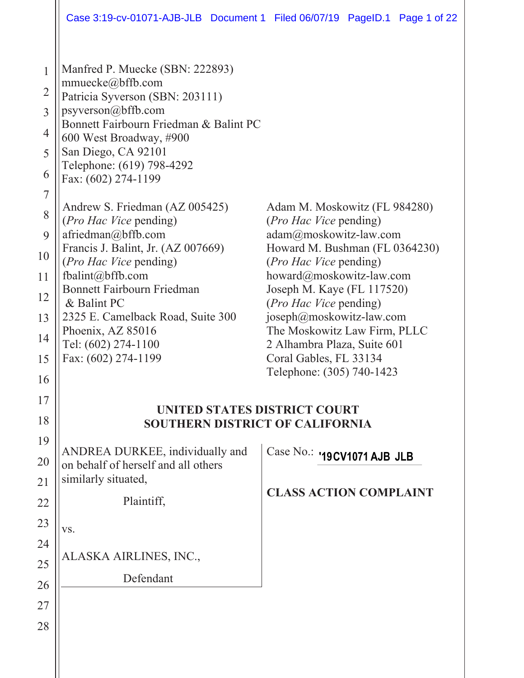Case 3:19-cv-01071-AJB-JLB Document 1 Filed 06/07/19 PageID.1 Page 1 of 22

| $\mathbf{1}$<br>$\overline{2}$<br>3<br>4<br>5<br>6<br>$\overline{7}$<br>8<br>9<br>10 | Manfred P. Muecke (SBN: 222893)<br>mmuecke $@$ bffb.com<br>Patricia Syverson (SBN: 203111)<br>psyverson@bffb.com<br>Bonnett Fairbourn Friedman & Balint PC<br>600 West Broadway, #900<br>San Diego, CA 92101<br>Telephone: (619) 798-4292<br>Fax: (602) 274-1199<br>Andrew S. Friedman (AZ 005425)<br>(Pro Hac Vice pending)<br>$a$ friedman $@$ bffb.com<br>Francis J. Balint, Jr. (AZ 007669) | Adam M. Moskowitz (FL 984280)<br>( <i>Pro Hac Vice</i> pending)<br>adam@moskowitz-law.com<br>Howard M. Bushman (FL 0364230)                                                                                                                                          |
|--------------------------------------------------------------------------------------|-------------------------------------------------------------------------------------------------------------------------------------------------------------------------------------------------------------------------------------------------------------------------------------------------------------------------------------------------------------------------------------------------|----------------------------------------------------------------------------------------------------------------------------------------------------------------------------------------------------------------------------------------------------------------------|
| 11<br>12<br>13<br>14<br>15<br>16                                                     | ( <i>Pro Hac Vice</i> pending)<br>fbalint@bffb.com<br><b>Bonnett Fairbourn Friedman</b><br>& Balint PC<br>2325 E. Camelback Road, Suite 300<br>Phoenix, AZ 85016<br>Tel: (602) 274-1100<br>Fax: (602) 274-1199                                                                                                                                                                                  | ( <i>Pro Hac Vice</i> pending)<br>howard@moskowitz-law.com<br>Joseph M. Kaye (FL 117520)<br>(Pro Hac Vice pending)<br>joseph@moskowitz-law.com<br>The Moskowitz Law Firm, PLLC<br>2 Alhambra Plaza, Suite 601<br>Coral Gables, FL 33134<br>Telephone: (305) 740-1423 |
| 17<br>18<br>19<br>20<br>21<br>22<br>23<br>24<br>25<br>26<br>27                       | <b>UNITED STATES DISTRICT COURT</b><br><b>SOUTHERN DISTRICT OF CALIFORNIA</b><br>ANDREA DURKEE, individually and<br>on behalf of herself and all others<br>similarly situated,<br>Plaintiff,<br>VS.<br>ALASKA AIRLINES, INC.,<br>Defendant                                                                                                                                                      | Case No.: '19CV1071 AJB JLB<br><b>CLASS ACTION COMPLAINT</b>                                                                                                                                                                                                         |
| 28                                                                                   |                                                                                                                                                                                                                                                                                                                                                                                                 |                                                                                                                                                                                                                                                                      |

 $\parallel$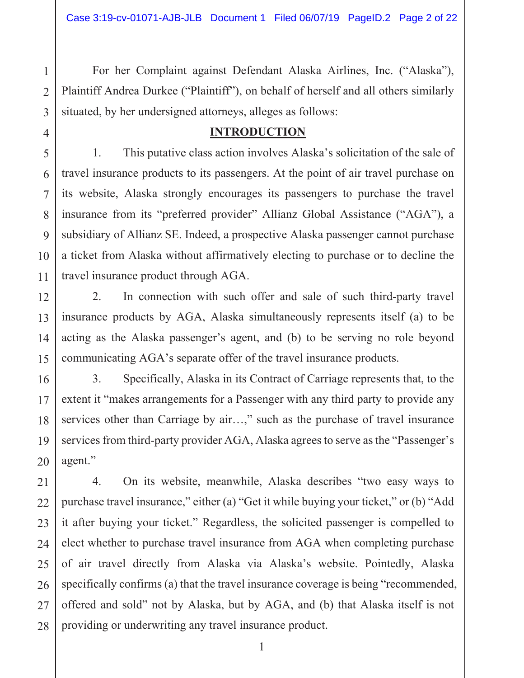For her Complaint against Defendant Alaska Airlines, Inc. ("Alaska"), Plaintiff Andrea Durkee ("Plaintiff"), on behalf of herself and all others similarly situated, by her undersigned attorneys, alleges as follows:

### **INTRODUCTION**

1. This putative class action involves Alaska's solicitation of the sale of travel insurance products to its passengers. At the point of air travel purchase on its website, Alaska strongly encourages its passengers to purchase the travel insurance from its "preferred provider" Allianz Global Assistance ("AGA"), a subsidiary of Allianz SE. Indeed, a prospective Alaska passenger cannot purchase a ticket from Alaska without affirmatively electing to purchase or to decline the travel insurance product through AGA.

 $2.$ In connection with such offer and sale of such third-party travel insurance products by AGA, Alaska simultaneously represents itself (a) to be acting as the Alaska passenger's agent, and (b) to be serving no role beyond communicating AGA's separate offer of the travel insurance products.

 $3.$ Specifically, Alaska in its Contract of Carriage represents that, to the extent it "makes arrangements for a Passenger with any third party to provide any services other than Carriage by air...," such as the purchase of travel insurance services from third-party provider AGA, Alaska agrees to serve as the "Passenger's agent."

 $4.$ On its website, meanwhile, Alaska describes "two easy ways to purchase travel insurance," either (a) "Get it while buying your ticket," or (b) "Add it after buying your ticket." Regardless, the solicited passenger is compelled to elect whether to purchase travel insurance from AGA when completing purchase of air travel directly from Alaska via Alaska's website. Pointedly, Alaska specifically confirms (a) that the travel insurance coverage is being "recommended, offered and sold" not by Alaska, but by AGA, and (b) that Alaska itself is not providing or underwriting any travel insurance product.

 $\mathbf{1}$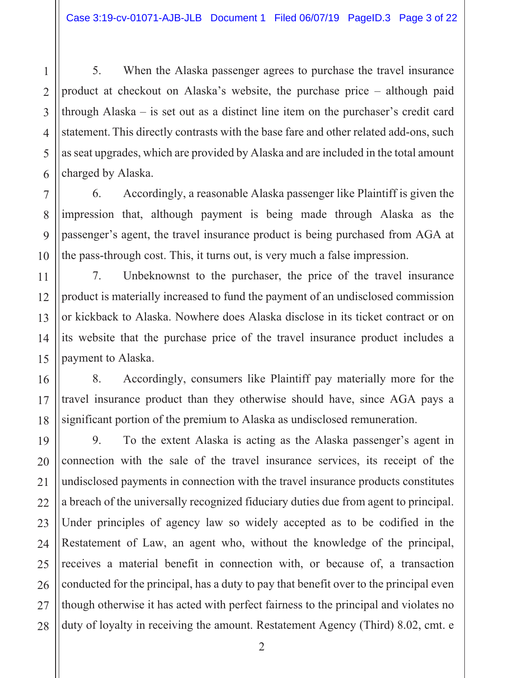5. When the Alaska passenger agrees to purchase the travel insurance product at checkout on Alaska's website, the purchase price – although paid through Alaska  $-$  is set out as a distinct line item on the purchaser's credit card statement. This directly contrasts with the base fare and other related add-ons, such as seat upgrades, which are provided by Alaska and are included in the total amount charged by Alaska.

Accordingly, a reasonable Alaska passenger like Plaintiff is given the 6. impression that, although payment is being made through Alaska as the passenger's agent, the travel insurance product is being purchased from AGA at the pass-through cost. This, it turns out, is very much a false impression.

7. Unbeknownst to the purchaser, the price of the travel insurance product is materially increased to fund the payment of an undisclosed commission or kickback to Alaska. Nowhere does Alaska disclose in its ticket contract or on its website that the purchase price of the travel insurance product includes a payment to Alaska.

Accordingly, consumers like Plaintiff pay materially more for the 8. travel insurance product than they otherwise should have, since AGA pays a significant portion of the premium to Alaska as undisclosed remuneration.

To the extent Alaska is acting as the Alaska passenger's agent in 9. connection with the sale of the travel insurance services, its receipt of the undisclosed payments in connection with the travel insurance products constitutes a breach of the universally recognized fiduciary duties due from agent to principal. Under principles of agency law so widely accepted as to be codified in the Restatement of Law, an agent who, without the knowledge of the principal, receives a material benefit in connection with, or because of, a transaction conducted for the principal, has a duty to pay that benefit over to the principal even though otherwise it has acted with perfect fairness to the principal and violates no duty of loyalty in receiving the amount. Restatement Agency (Third) 8.02, cmt. e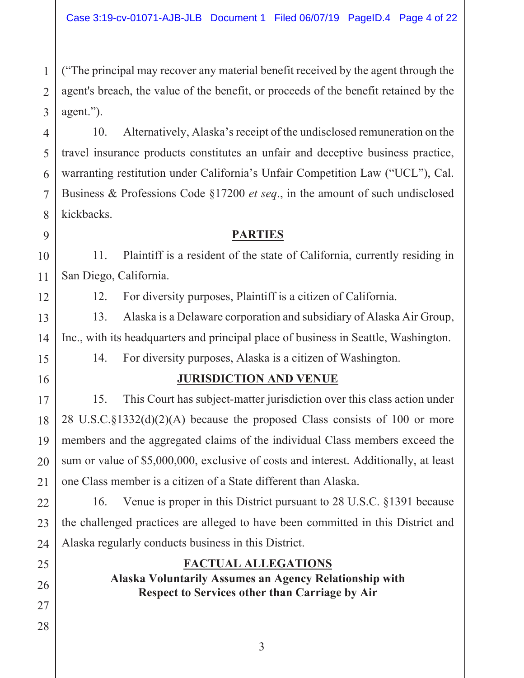("The principal may recover any material benefit received by the agent through the agent's breach, the value of the benefit, or proceeds of the benefit retained by the  $agent."$ ).

Alternatively, Alaska's receipt of the undisclosed remuneration on the 10. travel insurance products constitutes an unfair and deceptive business practice, warranting restitution under California's Unfair Competition Law ("UCL"), Cal. Business & Professions Code §17200 *et seq.*, in the amount of such undisclosed kickbacks.

### **PARTIES**

11. Plaintiff is a resident of the state of California, currently residing in San Diego, California.

12. For diversity purposes, Plaintiff is a citizen of California.

Alaska is a Delaware corporation and subsidiary of Alaska Air Group, 13. Inc., with its headquarters and principal place of business in Seattle, Washington.

14. For diversity purposes, Alaska is a citizen of Washington.

### **JURISDICTION AND VENUE**

15. This Court has subject-matter jurisdiction over this class action under 28 U.S.C. $\S$ 1332(d)(2)(A) because the proposed Class consists of 100 or more members and the aggregated claims of the individual Class members exceed the sum or value of \$5,000,000, exclusive of costs and interest. Additionally, at least one Class member is a citizen of a State different than Alaska.

16. Venue is proper in this District pursuant to 28 U.S.C. §1391 because the challenged practices are alleged to have been committed in this District and Alaska regularly conducts business in this District.

### **FACTUAL ALLEGATIONS**

Alaska Voluntarily Assumes an Agency Relationship with **Respect to Services other than Carriage by Air** 

 $\mathbf{1}$ 

 $\overline{2}$ 

 $\overline{3}$ 

 $\overline{4}$ 

5

6

 $\overline{7}$ 

8

9

10

11

12

13

14

15

16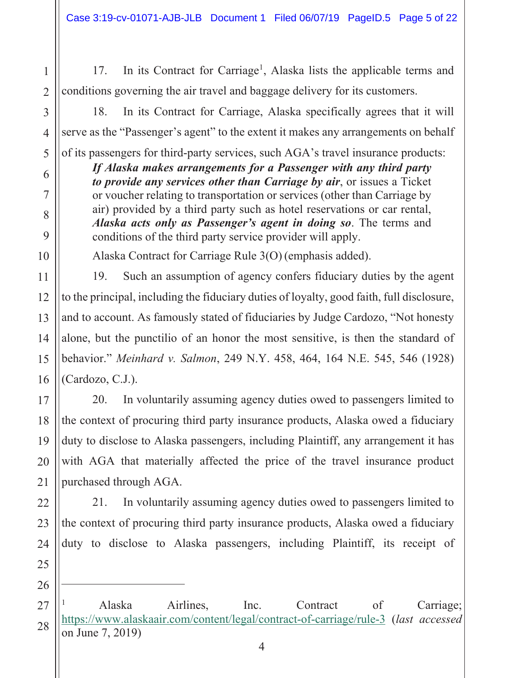In its Contract for Carriage<sup>1</sup>, Alaska lists the applicable terms and 17. conditions governing the air travel and baggage delivery for its customers.

In its Contract for Carriage, Alaska specifically agrees that it will 18. serve as the "Passenger's agent" to the extent it makes any arrangements on behalf

of its passengers for third-party services, such AGA's travel insurance products: If Alaska makes arrangements for a Passenger with any third party

to provide any services other than Carriage by air, or issues a Ticket or voucher relating to transportation or services (other than Carriage by air) provided by a third party such as hotel reservations or car rental, *Alaska acts only as Passenger's agent in doing so.* The terms and conditions of the third party service provider will apply.

Alaska Contract for Carriage Rule 3(O) (emphasis added).

Such an assumption of agency confers fiduciary duties by the agent 19. to the principal, including the fiduciary duties of lovalty, good faith, full disclosure, and to account. As famously stated of fiduciaries by Judge Cardozo, "Not honesty alone, but the punctilio of an honor the most sensitive, is then the standard of behavior." Meinhard v. Salmon, 249 N.Y. 458, 464, 164 N.E. 545, 546 (1928) (Cardozo, C.J.).

In voluntarily assuming agency duties owed to passengers limited to 20. the context of procuring third party insurance products, Alaska owed a fiduciary duty to disclose to Alaska passengers, including Plaintiff, any arrangement it has with AGA that materially affected the price of the travel insurance product purchased through AGA.

In voluntarily assuming agency duties owed to passengers limited to 21. the context of procuring third party insurance products, Alaska owed a fiduciary duty to disclose to Alaska passengers, including Plaintiff, its receipt of

26  $27$ 

28

 $\mathbf{1}$ 

 $\overline{2}$ 

 $\overline{3}$ 

 $\overline{4}$ 

5

6

 $\overline{7}$ 

8

9

10

11

12

 $13$ 

14

15

16

 $17$ 

18

19

20

 $21$ 

22

23

24

25

Airlines. Alaska Inc. Contract  $\sigma$ f Carriage; https://www.alaskaair.com/content/legal/contract-of-carriage/rule-3 (last accessed on June 7, 2019)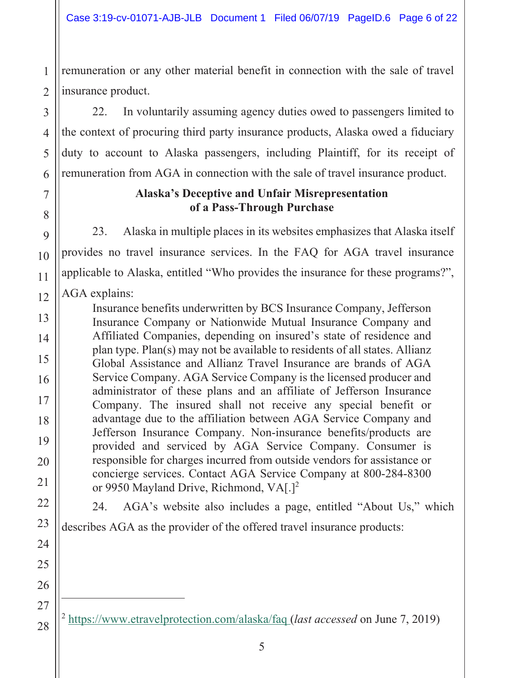remuneration or any other material benefit in connection with the sale of travel  $\mathbf{1}$ insurance product.  $\overline{2}$ 

In voluntarily assuming agency duties owed to passengers limited to 22. the context of procuring third party insurance products, Alaska owed a fiduciary duty to account to Alaska passengers, including Plaintiff, for its receipt of remuneration from AGA in connection with the sale of travel insurance product.

### **Alaska's Deceptive and Unfair Misrepresentation** of a Pass-Through Purchase

23. Alaska in multiple places in its websites emphasizes that Alaska itself provides no travel insurance services. In the FAQ for AGA travel insurance applicable to Alaska, entitled "Who provides the insurance for these programs?", AGA explains:

Insurance benefits underwritten by BCS Insurance Company, Jefferson Insurance Company or Nationwide Mutual Insurance Company and Affiliated Companies, depending on insured's state of residence and plan type. Plan(s) may not be available to residents of all states. Allianz Global Assistance and Allianz Travel Insurance are brands of AGA Service Company. AGA Service Company is the licensed producer and administrator of these plans and an affiliate of Jefferson Insurance Company. The insured shall not receive any special benefit or advantage due to the affiliation between AGA Service Company and Jefferson Insurance Company. Non-insurance benefits/products are provided and serviced by AGA Service Company. Consumer is responsible for charges incurred from outside vendors for assistance or concierge services. Contact AGA Service Company at 800-284-8300 or 9950 Mayland Drive, Richmond, VA[.]<sup>2</sup>

24. AGA's website also includes a page, entitled "About Us," which

describes AGA as the provider of the offered travel insurance products:

<sup>2</sup> https://www.etravelprotection.com/alaska/faq (*last accessed* on June 7, 2019)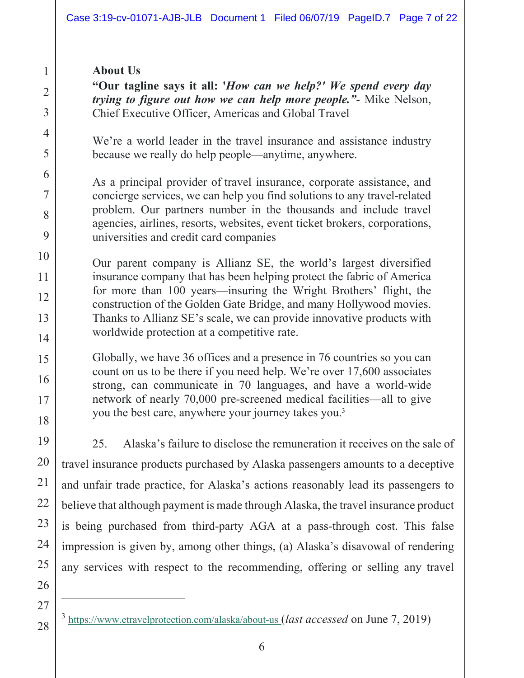### **About Us**

"Our tagline says it all: 'How can we help?' We spend every day *trying to figure out how we can help more people.*"- Mike Nelson, Chief Executive Officer, Americas and Global Travel

We're a world leader in the travel insurance and assistance industry because we really do help people—anytime, anywhere.

As a principal provider of travel insurance, corporate assistance, and concierge services, we can help you find solutions to any travel-related problem. Our partners number in the thousands and include travel agencies, airlines, resorts, websites, event ticket brokers, corporations, universities and credit card companies

Our parent company is Allianz SE, the world's largest diversified insurance company that has been helping protect the fabric of America for more than 100 years—insuring the Wright Brothers' flight, the construction of the Golden Gate Bridge, and many Hollywood movies. Thanks to Allianz SE's scale, we can provide innovative products with worldwide protection at a competitive rate.

Globally, we have 36 offices and a presence in 76 countries so you can count on us to be there if you need help. We're over 17,600 associates strong, can communicate in 70 languages, and have a world-wide network of nearly 70,000 pre-screened medical facilities—all to give you the best care, anywhere your journey takes you.<sup>3</sup>

 $25.$ Alaska's failure to disclose the remuneration it receives on the sale of travel insurance products purchased by Alaska passengers amounts to a deceptive and unfair trade practice, for Alaska's actions reasonably lead its passengers to believe that although payment is made through Alaska, the travel insurance product is being purchased from third-party AGA at a pass-through cost. This false impression is given by, among other things, (a) Alaska's disavowal of rendering any services with respect to the recommending, offering or selling any travel

 $3$  https://www.etravelprotection.com/alaska/about-us (*last accessed* on June 7, 2019)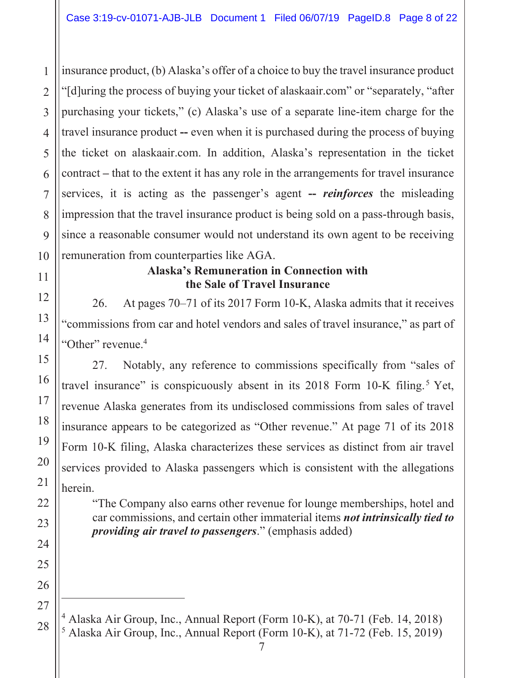insurance product, (b) Alaska's offer of a choice to buy the travel insurance product "[d] uring the process of buying your ticket of a laskaair.com" or "separately, "after" purchasing your tickets," (c) Alaska's use of a separate line-item charge for the travel insurance product -- even when it is purchased during the process of buying  $\overline{4}$ the ticket on alaskaair.com. In addition, Alaska's representation in the ticket 5 6 contract – that to the extent it has any role in the arrangements for travel insurance services, it is acting as the passenger's agent -- *reinforces* the misleading  $\overline{7}$ impression that the travel insurance product is being sold on a pass-through basis, 8 9 since a reasonable consumer would not understand its own agent to be receiving remuneration from counterparties like AGA. 10

 $\mathbf{1}$ 

 $\overline{2}$ 

 $\overline{3}$ 

11

12

13

14

15

16

17

18

19

20

21

22

23

24

25

26

 $27$ 

### **Alaska's Remuneration in Connection with** the Sale of Travel Insurance

At pages 70–71 of its 2017 Form 10-K, Alaska admits that it receives 26. "commissions from car and hotel vendors and sales of travel insurance," as part of "Other" revenue.<sup>4</sup>

Notably, any reference to commissions specifically from "sales of 27. travel insurance" is conspicuously absent in its 2018 Form 10-K filing.<sup>5</sup> Yet, revenue Alaska generates from its undisclosed commissions from sales of travel insurance appears to be categorized as "Other revenue." At page 71 of its 2018 Form 10-K filing, Alaska characterizes these services as distinct from air travel services provided to Alaska passengers which is consistent with the allegations herein.

"The Company also earns other revenue for lounge memberships, hotel and car commissions, and certain other immaterial items not intrinsically tied to *providing air travel to passengers.*" (emphasis added)

<sup>&</sup>lt;sup>4</sup> Alaska Air Group, Inc., Annual Report (Form 10-K), at 70-71 (Feb. 14, 2018) 28 <sup>5</sup> Alaska Air Group, Inc., Annual Report (Form 10-K), at 71-72 (Feb. 15, 2019)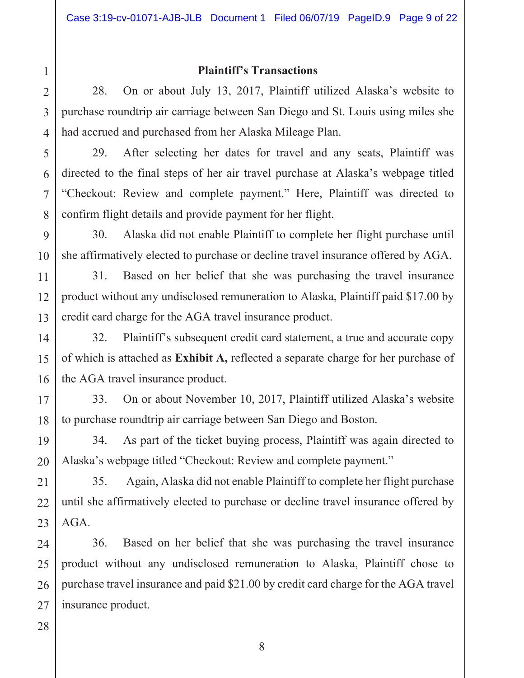### **Plaintiff's Transactions**

28. On or about July 13, 2017, Plaintiff utilized Alaska's website to purchase roundtrip air carriage between San Diego and St. Louis using miles she had accrued and purchased from her Alaska Mileage Plan.

After selecting her dates for travel and any seats, Plaintiff was 29. directed to the final steps of her air travel purchase at Alaska's webpage titled "Checkout: Review and complete payment." Here, Plaintiff was directed to confirm flight details and provide payment for her flight.

30. Alaska did not enable Plaintiff to complete her flight purchase until she affirmatively elected to purchase or decline travel insurance offered by AGA.

Based on her belief that she was purchasing the travel insurance 31. product without any undisclosed remuneration to Alaska, Plaintiff paid \$17.00 by credit card charge for the AGA travel insurance product.

32. Plaintiff's subsequent credit card statement, a true and accurate copy of which is attached as **Exhibit A**, reflected a separate charge for her purchase of the AGA travel insurance product.

On or about November 10, 2017, Plaintiff utilized Alaska's website 33. to purchase roundtrip air carriage between San Diego and Boston.

As part of the ticket buying process, Plaintiff was again directed to 34. Alaska's webpage titled "Checkout: Review and complete payment."

Again, Alaska did not enable Plaintiff to complete her flight purchase 35. until she affirmatively elected to purchase or decline travel insurance offered by AGA.

Based on her belief that she was purchasing the travel insurance 36. product without any undisclosed remuneration to Alaska, Plaintiff chose to purchase travel insurance and paid \$21.00 by credit card charge for the AGA travel insurance product.

 $\mathbf{1}$ 

 $\overline{2}$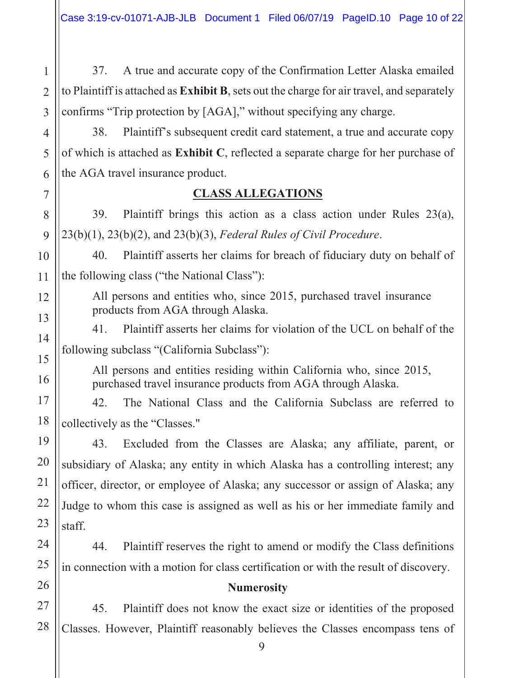37. A true and accurate copy of the Confirmation Letter Alaska emailed to Plaintiff is attached as Exhibit B, sets out the charge for air travel, and separately confirms "Trip protection by [AGA]," without specifying any charge.

38. Plaintiff's subsequent credit card statement, a true and accurate copy of which is attached as **Exhibit C**, reflected a separate charge for her purchase of the AGA travel insurance product.

### **CLASS ALLEGATIONS**

Plaintiff brings this action as a class action under Rules 23(a), 39.  $23(b)(1)$ ,  $23(b)(2)$ , and  $23(b)(3)$ , Federal Rules of Civil Procedure.

Plaintiff asserts her claims for breach of fiduciary duty on behalf of 40. the following class ("the National Class"):

All persons and entities who, since 2015, purchased travel insurance products from AGA through Alaska.

Plaintiff asserts her claims for violation of the UCL on behalf of the 41. following subclass "(California Subclass"):

All persons and entities residing within California who, since 2015, purchased travel insurance products from AGA through Alaska.

The National Class and the California Subclass are referred to  $42.$ collectively as the "Classes."

Excluded from the Classes are Alaska; any affiliate, parent, or 43. subsidiary of Alaska; any entity in which Alaska has a controlling interest; any officer, director, or employee of Alaska; any successor or assign of Alaska; any Judge to whom this case is assigned as well as his or her immediate family and staff.

44. Plaintiff reserves the right to amend or modify the Class definitions in connection with a motion for class certification or with the result of discovery.

### **Numerosity**

 $45.$ Plaintiff does not know the exact size or identities of the proposed Classes. However, Plaintiff reasonably believes the Classes encompass tens of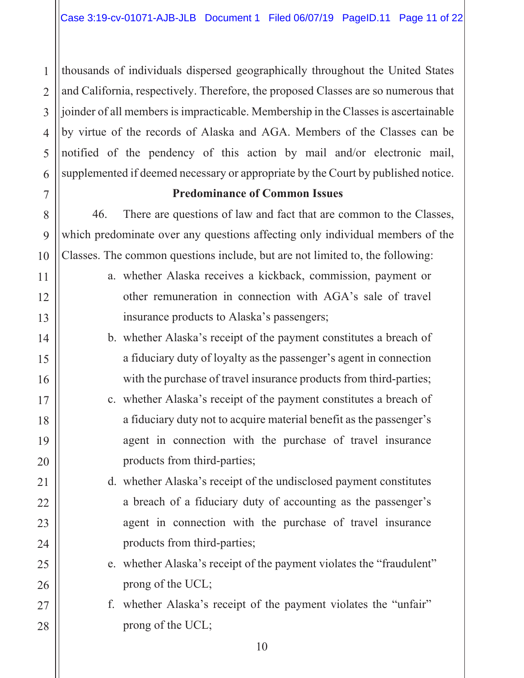thousands of individuals dispersed geographically throughout the United States  $\mathbf{1}$ and California, respectively. Therefore, the proposed Classes are so numerous that  $\mathcal{D}_{\mathcal{L}}$ 3 joinder of all members is impracticable. Membership in the Classes is ascertainable by virtue of the records of Alaska and AGA. Members of the Classes can be  $\overline{4}$ notified of the pendency of this action by mail and/or electronic mail, 5 6 supplemented if deemed necessary or appropriate by the Court by published notice.

### **Predominance of Common Issues**

 $\overline{7}$ 

8

9

10

11

12

13

14

15

16

 $17$ 

18

19

20

 $21$ 

22

23

24

25

26

27

28

46. There are questions of law and fact that are common to the Classes, which predominate over any questions affecting only individual members of the Classes. The common questions include, but are not limited to, the following:

- a. whether Alaska receives a kickback, commission, payment or other remuneration in connection with AGA's sale of travel insurance products to Alaska's passengers;
- b. whether Alaska's receipt of the payment constitutes a breach of a fiduciary duty of loyalty as the passenger's agent in connection with the purchase of travel insurance products from third-parties;
- c. whether Alaska's receipt of the payment constitutes a breach of a fiduciary duty not to acquire material benefit as the passenger's agent in connection with the purchase of travel insurance products from third-parties;
- d. whether Alaska's receipt of the undisclosed payment constitutes a breach of a fiduciary duty of accounting as the passenger's agent in connection with the purchase of travel insurance products from third-parties;
- e. whether Alaska's receipt of the payment violates the "fraudulent" prong of the UCL;

f. whether Alaska's receipt of the payment violates the "unfair" prong of the UCL;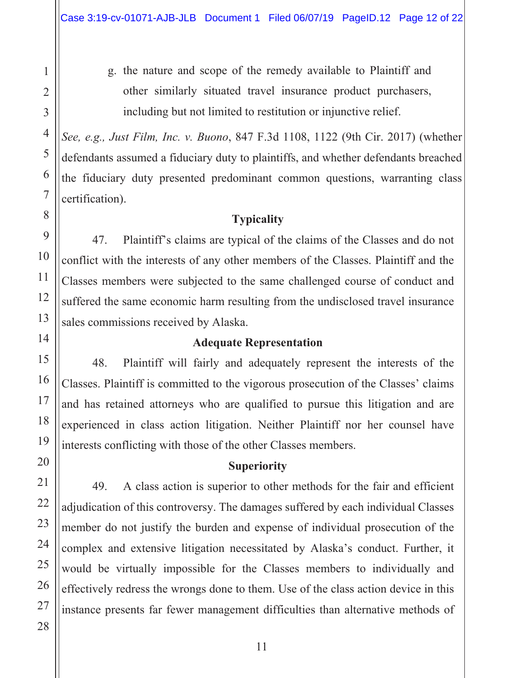g. the nature and scope of the remedy available to Plaintiff and other similarly situated travel insurance product purchasers, including but not limited to restitution or injunctive relief.

See, e.g., Just Film, Inc. v. Buono, 847 F.3d 1108, 1122 (9th Cir. 2017) (whether defendants assumed a fiduciary duty to plaintiffs, and whether defendants breached the fiduciary duty presented predominant common questions, warranting class certification).

### **Typicality**

47. Plaintiff's claims are typical of the claims of the Classes and do not conflict with the interests of any other members of the Classes. Plaintiff and the Classes members were subjected to the same challenged course of conduct and suffered the same economic harm resulting from the undisclosed travel insurance sales commissions received by Alaska.

### **Adequate Representation**

48. Plaintiff will fairly and adequately represent the interests of the Classes. Plaintiff is committed to the vigorous prosecution of the Classes' claims and has retained attorneys who are qualified to pursue this litigation and are experienced in class action litigation. Neither Plaintiff nor her counsel have interests conflicting with those of the other Classes members.

### **Superiority**

49. A class action is superior to other methods for the fair and efficient adjudication of this controversy. The damages suffered by each individual Classes member do not justify the burden and expense of individual prosecution of the complex and extensive litigation necessitated by Alaska's conduct. Further, it would be virtually impossible for the Classes members to individually and effectively redress the wrongs done to them. Use of the class action device in this instance presents far fewer management difficulties than alternative methods of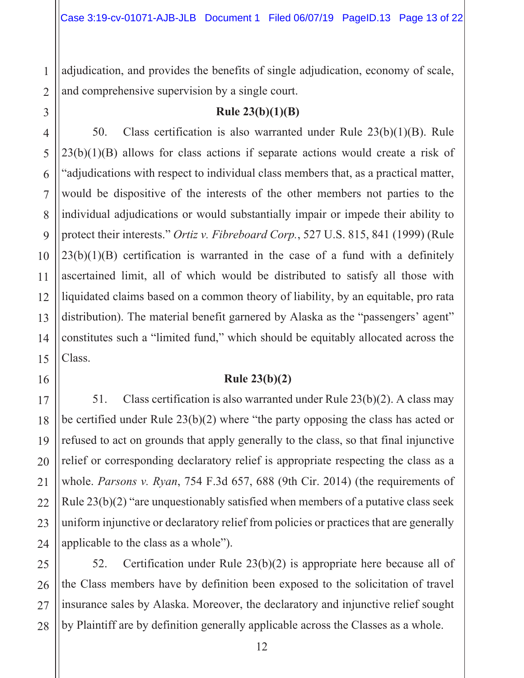adjudication, and provides the benefits of single adjudication, economy of scale, and comprehensive supervision by a single court.

 $Rule 23(b)(1)(B)$ 

50. Class certification is also warranted under Rule  $23(b)(1)(B)$ . Rule  $23(b)(1)(B)$  allows for class actions if separate actions would create a risk of adjudications with respect to individual class members that, as a practical matter, would be dispositive of the interests of the other members not parties to the individual adjudications or would substantially impair or impede their ability to protect their interests." Ortiz v. Fibreboard Corp., 527 U.S. 815, 841 (1999) (Rule  $23(b)(1)(B)$  certification is warranted in the case of a fund with a definitely ascertained limit, all of which would be distributed to satisfy all those with liquidated claims based on a common theory of liability, by an equitable, pro rata distribution). The material benefit garnered by Alaska as the "passengers' agent" constitutes such a "limited fund," which should be equitably allocated across the Class.

### $Rule 23(b)(2)$

51. Class certification is also warranted under Rule  $23(b)(2)$ . A class may be certified under Rule  $23(b)(2)$  where "the party opposing the class has acted or refused to act on grounds that apply generally to the class, so that final injunctive relief or corresponding declaratory relief is appropriate respecting the class as a whole. Parsons v. Ryan, 754 F.3d 657, 688 (9th Cir. 2014) (the requirements of Rule  $23(b)(2)$  "are unquestionably satisfied when members of a putative class seek uniform injunctive or declaratory relief from policies or practices that are generally applicable to the class as a whole").

52. Certification under Rule  $23(b)(2)$  is appropriate here because all of the Class members have by definition been exposed to the solicitation of travel insurance sales by Alaska. Moreover, the declaratory and injunctive relief sought by Plaintiff are by definition generally applicable across the Classes as a whole.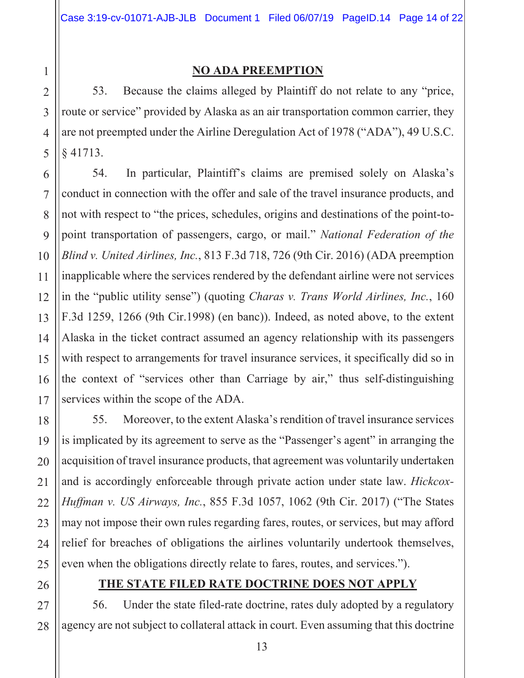### **NO ADA PREEMPTION**

Because the claims alleged by Plaintiff do not relate to any "price, 53. route or service" provided by Alaska as an air transportation common carrier, they are not preempted under the Airline Deregulation Act of 1978 ("ADA"), 49 U.S.C.  $§$  41713.

In particular, Plaintiff's claims are premised solely on Alaska's 54. conduct in connection with the offer and sale of the travel insurance products, and not with respect to "the prices, schedules, origins and destinations of the point-topoint transportation of passengers, cargo, or mail." National Federation of the Blind v. United Airlines, Inc., 813 F.3d 718, 726 (9th Cir. 2016) (ADA preemption inapplicable where the services rendered by the defendant airline were not services in the "public utility sense") (quoting *Charas v. Trans World Airlines, Inc.*, 160 F.3d 1259, 1266 (9th Cir.1998) (en banc)). Indeed, as noted above, to the extent Alaska in the ticket contract assumed an agency relationship with its passengers with respect to arrangements for travel insurance services, it specifically did so in the context of "services other than Carriage by air," thus self-distinguishing services within the scope of the ADA.

55. Moreover, to the extent Alaska's rendition of travel insurance services is implicated by its agreement to serve as the "Passenger's agent" in arranging the acquisition of travel insurance products, that agreement was voluntarily undertaken and is accordingly enforceable through private action under state law. Hickcox-*Huffman v. US Airways, Inc.*, 855 F.3d 1057, 1062 (9th Cir. 2017) ("The States" may not impose their own rules regarding fares, routes, or services, but may afford relief for breaches of obligations the airlines voluntarily undertook themselves, even when the obligations directly relate to fares, routes, and services.").

### THE STATE FILED RATE DOCTRINE DOES NOT APPLY

56. Under the state filed-rate doctrine, rates duly adopted by a regulatory agency are not subject to collateral attack in court. Even assuming that this doctrine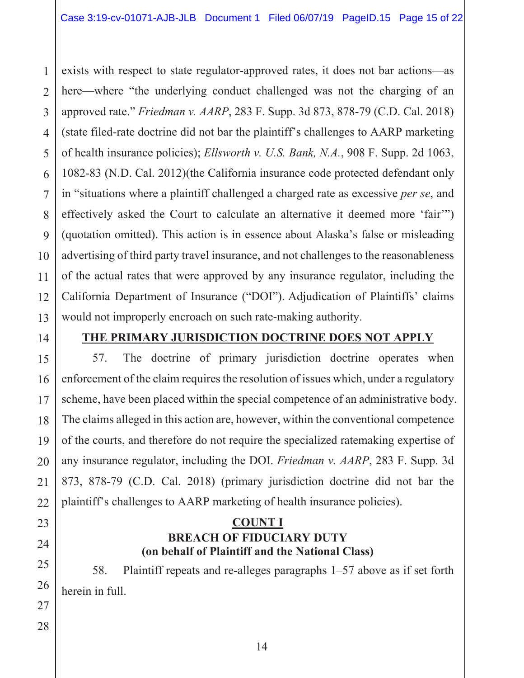exists with respect to state regulator-approved rates, it does not bar actions—as  $\mathbf{1}$ here—where "the underlying conduct challenged was not the charging of an  $\overline{2}$  $\overline{3}$ approved rate." *Friedman v. AARP*, 283 F. Supp. 3d 873, 878-79 (C.D. Cal. 2018) (state filed-rate doctrine did not bar the plaintiff's challenges to AARP marketing  $\overline{4}$ of health insurance policies); Ellsworth v. U.S. Bank, N.A., 908 F. Supp. 2d 1063, 5 1082-83 (N.D. Cal. 2012)(the California insurance code protected defendant only 6  $\overline{7}$ in "situations where a plaintiff challenged a charged rate as excessive *per se*, and effectively asked the Court to calculate an alternative it deemed more 'fair'" 8 9 (quotation omitted). This action is in essence about Alaska's false or misleading advertising of third party travel insurance, and not challenges to the reasonableness  $1<sub>0</sub>$ of the actual rates that were approved by any insurance regulator, including the California Department of Insurance ("DOI"). Adjudication of Plaintiffs' claims 12 would not improperly encroach on such rate-making authority.  $13$ 

14

11

15

16

 $17$ 

18

19

## **THE PRIMARY JURISDICTION DOCTRINE DOES NOT APPLY**

57. The doctrine of primary jurisdiction doctrine operates when enforcement of the claim requires the resolution of issues which, under a regulatory scheme, have been placed within the special competence of an administrative body. The claims alleged in this action are, however, within the conventional competence of the courts, and therefore do not require the specialized ratemaking expertise of any insurance regulator, including the DOI. Friedman v. AARP, 283 F. Supp. 3d 873, 878-79 (C.D. Cal. 2018) (primary jurisdiction doctrine did not bar the plaintiff's challenges to AARP marketing of health insurance policies).

### **COUNT I BREACH OF FIDUCIARY DUTY** (on behalf of Plaintiff and the National Class)

58. Plaintiff repeats and re-alleges paragraphs  $1-57$  above as if set forth herein in full.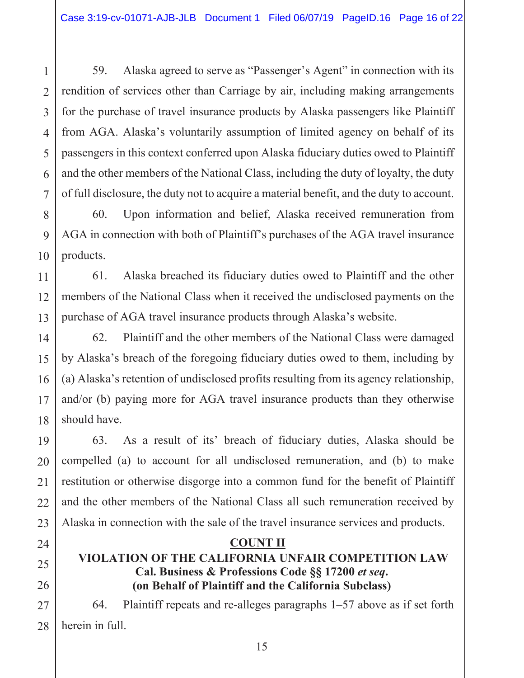59. Alaska agreed to serve as "Passenger's Agent" in connection with its rendition of services other than Carriage by air, including making arrangements for the purchase of travel insurance products by Alaska passengers like Plaintiff from AGA. Alaska's voluntarily assumption of limited agency on behalf of its passengers in this context conferred upon Alaska fiduciary duties owed to Plaintiff and the other members of the National Class, including the duty of loyalty, the duty of full disclosure, the duty not to acquire a material benefit, and the duty to account.

Upon information and belief, Alaska received remuneration from 60. AGA in connection with both of Plaintiff's purchases of the AGA travel insurance products.

Alaska breached its fiduciary duties owed to Plaintiff and the other 61. members of the National Class when it received the undisclosed payments on the purchase of AGA travel insurance products through Alaska's website.

Plaintiff and the other members of the National Class were damaged 62. by Alaska's breach of the foregoing fiduciary duties owed to them, including by (a) Alaska's retention of undisclosed profits resulting from its agency relationship, and/or (b) paying more for AGA travel insurance products than they otherwise should have.

As a result of its' breach of fiduciary duties, Alaska should be 63. compelled (a) to account for all undisclosed remuneration, and (b) to make restitution or otherwise disgorge into a common fund for the benefit of Plaintiff and the other members of the National Class all such remuneration received by Alaska in connection with the sale of the travel insurance services and products.

### **COUNT II**

### VIOLATION OF THE CALIFORNIA UNFAIR COMPETITION LAW Cal. Business & Professions Code §§ 17200 et seq. (on Behalf of Plaintiff and the California Subclass)

Plaintiff repeats and re-alleges paragraphs  $1-57$  above as if set forth 64. herein in full.

 $\mathbf{1}$ 

 $\mathcal{D}_{\mathcal{L}}$ 

3

 $\overline{4}$ 

5

6

 $\overline{7}$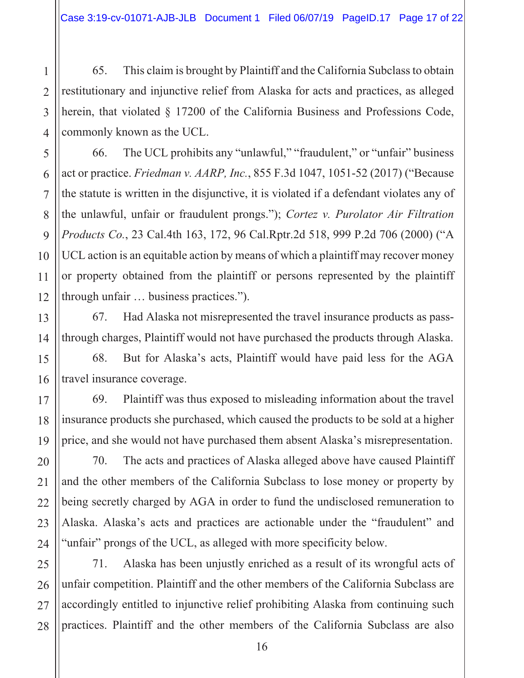65. This claim is brought by Plaintiff and the California Subclass to obtain restitutionary and injunctive relief from Alaska for acts and practices, as alleged herein, that violated  $\S$  17200 of the California Business and Professions Code, commonly known as the UCL.

The UCL prohibits any "unlawful," "fraudulent," or "unfair" business 66. act or practice. *Friedman v. AARP*, *Inc.*, 855 F.3d 1047, 1051-52 (2017) ("Because" the statute is written in the disjunctive, it is violated if a defendant violates any of the unlawful, unfair or fraudulent prongs."); Cortez v. Purolator Air Filtration Products Co., 23 Cal.4th 163, 172, 96 Cal.Rptr.2d 518, 999 P.2d 706 (2000) ("A UCL action is an equitable action by means of which a plaintiff may recover money or property obtained from the plaintiff or persons represented by the plaintiff through unfair ... business practices.").

Had Alaska not misrepresented the travel insurance products as pass-67. through charges, Plaintiff would not have purchased the products through Alaska.

68. But for Alaska's acts, Plaintiff would have paid less for the AGA travel insurance coverage.

69. Plaintiff was thus exposed to misleading information about the travel insurance products she purchased, which caused the products to be sold at a higher price, and she would not have purchased them absent Alaska's misrepresentation.

70. The acts and practices of Alaska alleged above have caused Plaintiff and the other members of the California Subclass to lose money or property by being secretly charged by AGA in order to fund the undisclosed remuneration to Alaska. Alaska's acts and practices are actionable under the "fraudulent" and "unfair" prongs of the UCL, as alleged with more specificity below.

71. Alaska has been unjustly enriched as a result of its wrongful acts of unfair competition. Plaintiff and the other members of the California Subclass are accordingly entitled to injunctive relief prohibiting Alaska from continuing such practices. Plaintiff and the other members of the California Subclass are also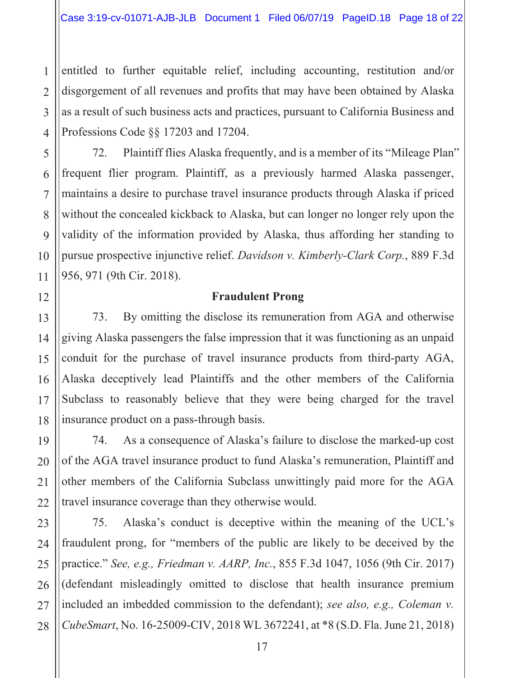entitled to further equitable relief, including accounting, restitution and/or disgorgement of all revenues and profits that may have been obtained by Alaska as a result of such business acts and practices, pursuant to California Business and Professions Code  $\S$  17203 and 17204.

Plaintiff flies Alaska frequently, and is a member of its "Mileage Plan" 72. frequent flier program. Plaintiff, as a previously harmed Alaska passenger, maintains a desire to purchase travel insurance products through Alaska if priced without the concealed kickback to Alaska, but can longer no longer rely upon the validity of the information provided by Alaska, thus affording her standing to pursue prospective injunctive relief. Davidson v. Kimberly-Clark Corp., 889 F.3d 956, 971 (9th Cir. 2018).

### **Fraudulent Prong**

By omitting the disclose its remuneration from AGA and otherwise 73. giving Alaska passengers the false impression that it was functioning as an unpaid conduit for the purchase of travel insurance products from third-party AGA, Alaska deceptively lead Plaintiffs and the other members of the California Subclass to reasonably believe that they were being charged for the travel insurance product on a pass-through basis.

As a consequence of Alaska's failure to disclose the marked-up cost 74. of the AGA travel insurance product to fund Alaska's remuneration, Plaintiff and other members of the California Subclass unwittingly paid more for the AGA travel insurance coverage than they otherwise would.

75. Alaska's conduct is deceptive within the meaning of the UCL's fraudulent prong, for "members of the public are likely to be deceived by the practice." See, e.g., Friedman v. AARP, Inc., 855 F.3d 1047, 1056 (9th Cir. 2017) (defendant misleadingly omitted to disclose that health insurance premium included an imbedded commission to the defendant); see also, e.g., Coleman v. CubeSmart, No. 16-25009-CIV, 2018 WL 3672241, at \*8 (S.D. Fla. June 21, 2018)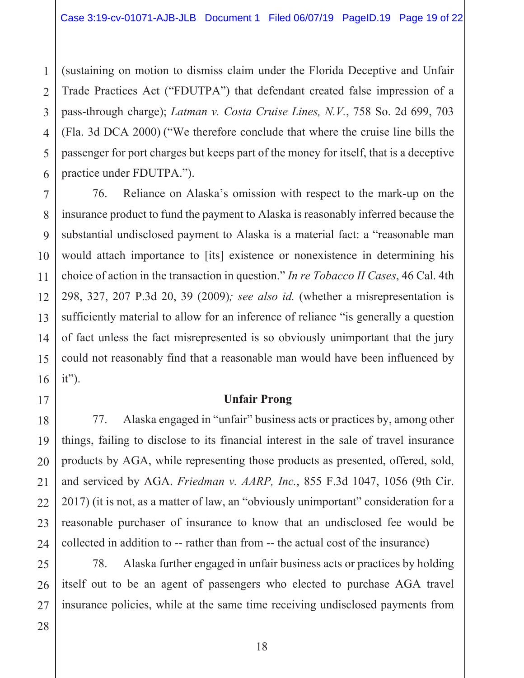(sustaining on motion to dismiss claim under the Florida Deceptive and Unfair  $\mathbf{1}$ Trade Practices Act ("FDUTPA") that defendant created false impression of a  $\overline{2}$ pass-through charge); Latman v. Costa Cruise Lines, N.V., 758 So. 2d 699, 703 3 (Fla. 3d DCA 2000) ("We therefore conclude that where the cruise line bills the  $\overline{4}$ passenger for port charges but keeps part of the money for itself, that is a deceptive practice under FDUTPA.").

Reliance on Alaska's omission with respect to the mark-up on the 76. insurance product to fund the payment to Alaska is reasonably inferred because the substantial undisclosed payment to Alaska is a material fact: a "reasonable man would attach importance to [its] existence or nonexistence in determining his choice of action in the transaction in question." In re Tobacco II Cases, 46 Cal. 4th 298, 327, 207 P.3d 20, 39 (2009); see also id. (whether a misrepresentation is sufficiently material to allow for an inference of reliance "is generally a question of fact unless the fact misrepresented is so obviously unimportant that the jury could not reasonably find that a reasonable man would have been influenced by  $it$ {").

### **Unfair Prong**

77. Alaska engaged in "unfair" business acts or practices by, among other things, failing to disclose to its financial interest in the sale of travel insurance products by AGA, while representing those products as presented, offered, sold, and serviced by AGA. Friedman v. AARP, Inc., 855 F.3d 1047, 1056 (9th Cir. 2017) (it is not, as a matter of law, an "obviously unimportant" consideration for a reasonable purchaser of insurance to know that an undisclosed fee would be collected in addition to -- rather than from -- the actual cost of the insurance)

78. Alaska further engaged in unfair business acts or practices by holding itself out to be an agent of passengers who elected to purchase AGA travel insurance policies, while at the same time receiving undisclosed payments from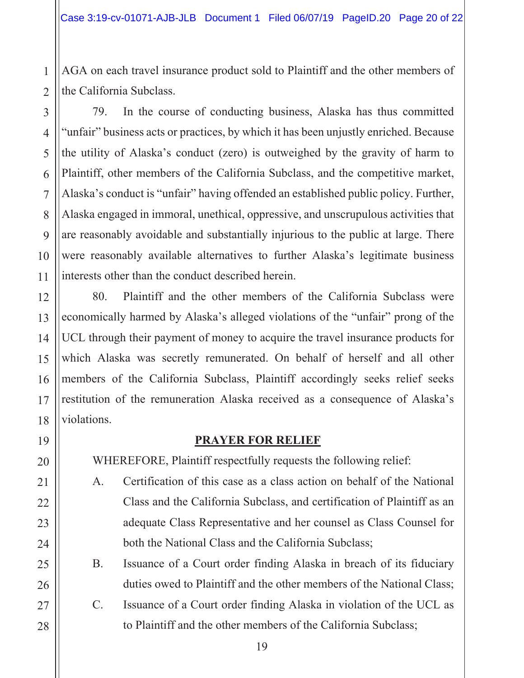AGA on each travel insurance product sold to Plaintiff and the other members of the California Subclass.

79. In the course of conducting business, Alaska has thus committed "unfair" business acts or practices, by which it has been unjustly enriched. Because the utility of Alaska's conduct (zero) is outweighed by the gravity of harm to Plaintiff, other members of the California Subclass, and the competitive market, Alaska's conduct is "unfair" having offended an established public policy. Further, Alaska engaged in immoral, unethical, oppressive, and unscrupulous activities that are reasonably avoidable and substantially injurious to the public at large. There were reasonably available alternatives to further Alaska's legitimate business interests other than the conduct described herein.

80. Plaintiff and the other members of the California Subclass were economically harmed by Alaska's alleged violations of the "unfair" prong of the UCL through their payment of money to acquire the travel insurance products for which Alaska was secretly remunerated. On behalf of herself and all other members of the California Subclass, Plaintiff accordingly seeks relief seeks restitution of the remuneration Alaska received as a consequence of Alaska's violations.

### **PRAYER FOR RELIEF**

WHEREFORE, Plaintiff respectfully requests the following relief:

- Certification of this case as a class action on behalf of the National A. Class and the California Subclass, and certification of Plaintiff as an adequate Class Representative and her counsel as Class Counsel for both the National Class and the California Subclass;
- **B.** Issuance of a Court order finding Alaska in breach of its fiduciary duties owed to Plaintiff and the other members of the National Class;
- $C_{\cdot}$ Issuance of a Court order finding Alaska in violation of the UCL as to Plaintiff and the other members of the California Subclass;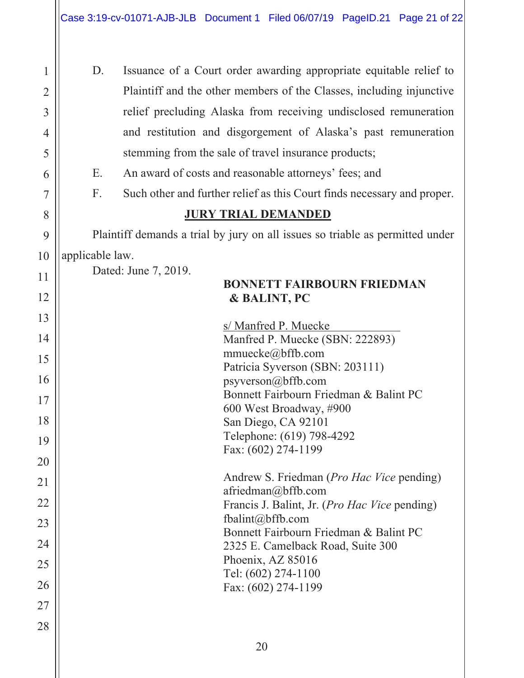| 1              | D.                                                                            | Issuance of a Court order awarding appropriate equitable relief to                 |  |  |  |  |  |
|----------------|-------------------------------------------------------------------------------|------------------------------------------------------------------------------------|--|--|--|--|--|
| $\overline{2}$ |                                                                               | Plaintiff and the other members of the Classes, including injunctive               |  |  |  |  |  |
| 3              |                                                                               | relief precluding Alaska from receiving undisclosed remuneration                   |  |  |  |  |  |
| 4              |                                                                               | and restitution and disgorgement of Alaska's past remuneration                     |  |  |  |  |  |
| 5              |                                                                               | stemming from the sale of travel insurance products;                               |  |  |  |  |  |
| 6              | Ε.                                                                            | An award of costs and reasonable attorneys' fees; and                              |  |  |  |  |  |
| 7              | F.                                                                            | Such other and further relief as this Court finds necessary and proper.            |  |  |  |  |  |
| 8              | <b>JURY TRIAL DEMANDED</b>                                                    |                                                                                    |  |  |  |  |  |
| 9              | Plaintiff demands a trial by jury on all issues so triable as permitted under |                                                                                    |  |  |  |  |  |
| 10             | applicable law.                                                               |                                                                                    |  |  |  |  |  |
| 11             |                                                                               | Dated: June 7, 2019.                                                               |  |  |  |  |  |
| 12             |                                                                               | <b>BONNETT FAIRBOURN FRIEDMAN</b><br>& BALINT, PC                                  |  |  |  |  |  |
| 13             |                                                                               |                                                                                    |  |  |  |  |  |
| 14             |                                                                               | s/ Manfred P. Muecke<br>Manfred P. Muecke (SBN: 222893)                            |  |  |  |  |  |
| 15             |                                                                               | mmuecke $@$ bffb.com                                                               |  |  |  |  |  |
| 16             |                                                                               | Patricia Syverson (SBN: 203111)                                                    |  |  |  |  |  |
|                |                                                                               | psyverson@bffb.com<br>Bonnett Fairbourn Friedman & Balint PC                       |  |  |  |  |  |
| 17             |                                                                               | 600 West Broadway, #900                                                            |  |  |  |  |  |
| 18             |                                                                               | San Diego, CA 92101                                                                |  |  |  |  |  |
| 19             |                                                                               | Telephone: (619) 798-4292                                                          |  |  |  |  |  |
| 20             |                                                                               | Fax: (602) 274-1199                                                                |  |  |  |  |  |
| 21             |                                                                               | Andrew S. Friedman ( <i>Pro Hac Vice</i> pending)                                  |  |  |  |  |  |
| 22             |                                                                               | $a$ friedman $@$ bffb.com<br>Francis J. Balint, Jr. ( <i>Pro Hac Vice</i> pending) |  |  |  |  |  |
| 23             |                                                                               | fbalint@bffb.com                                                                   |  |  |  |  |  |
| 24             |                                                                               | Bonnett Fairbourn Friedman & Balint PC                                             |  |  |  |  |  |
|                |                                                                               | 2325 E. Camelback Road, Suite 300<br>Phoenix, AZ 85016                             |  |  |  |  |  |
| 25             |                                                                               | Tel: (602) 274-1100                                                                |  |  |  |  |  |
| 26             |                                                                               | Fax: (602) 274-1199                                                                |  |  |  |  |  |
| 27             |                                                                               |                                                                                    |  |  |  |  |  |
| 28             |                                                                               |                                                                                    |  |  |  |  |  |
|                |                                                                               |                                                                                    |  |  |  |  |  |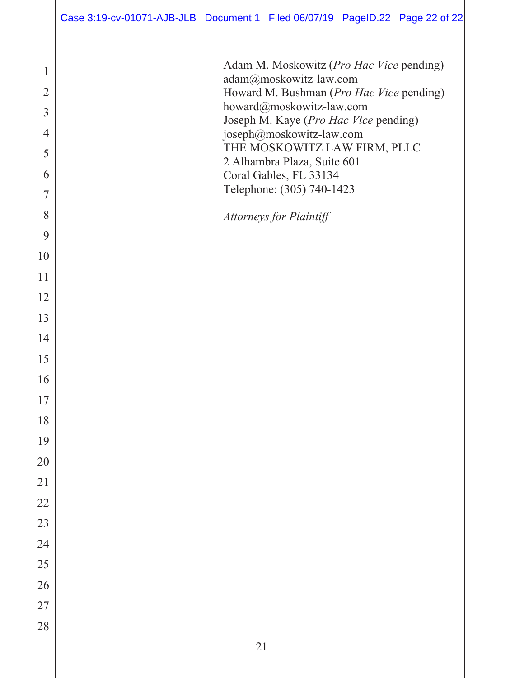| Adam M. Moskowitz (Pro Hac Vice pending)<br>$\mathbf 1$<br>adam@moskowitz-law.com                                                                                                  |  |
|------------------------------------------------------------------------------------------------------------------------------------------------------------------------------------|--|
| $\overline{2}$<br>Howard M. Bushman (Pro Hac Vice pending)<br>howard@moskowitz-law.com<br>$\overline{3}$<br>Joseph M. Kaye (Pro Hac Vice pending)<br>joseph@moskowitz-law.com<br>4 |  |
| THE MOSKOWITZ LAW FIRM, PLLC<br>5<br>2 Alhambra Plaza, Suite 601                                                                                                                   |  |
| 6<br>Coral Gables, FL 33134<br>Telephone: (305) 740-1423                                                                                                                           |  |
| 7<br>8                                                                                                                                                                             |  |
| <b>Attorneys for Plaintiff</b><br>9                                                                                                                                                |  |
| 10                                                                                                                                                                                 |  |
| 11                                                                                                                                                                                 |  |
| 12                                                                                                                                                                                 |  |
| 13                                                                                                                                                                                 |  |
| 14<br>15                                                                                                                                                                           |  |
| 16                                                                                                                                                                                 |  |
| 17                                                                                                                                                                                 |  |
| 18                                                                                                                                                                                 |  |
| 19                                                                                                                                                                                 |  |
| 20                                                                                                                                                                                 |  |
| 21<br>22                                                                                                                                                                           |  |
| 23                                                                                                                                                                                 |  |
| 24                                                                                                                                                                                 |  |
| 25                                                                                                                                                                                 |  |
| 26                                                                                                                                                                                 |  |
| 27                                                                                                                                                                                 |  |
| 28<br>$21\,$                                                                                                                                                                       |  |
|                                                                                                                                                                                    |  |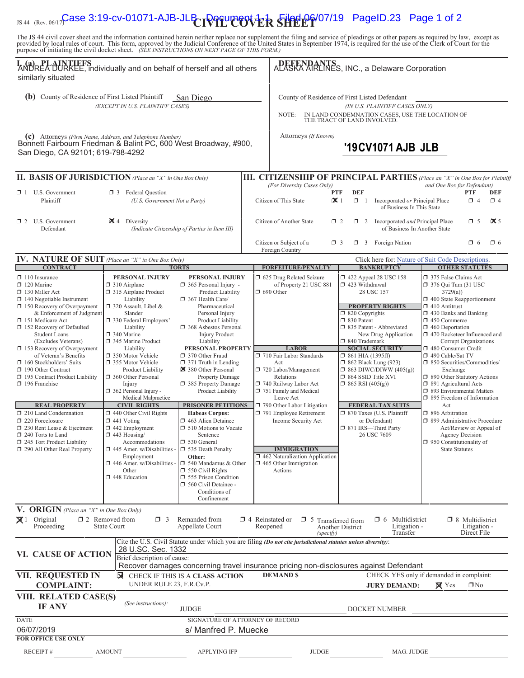# IS 44 (Rev. 06/17) **Case 3:19-cv-01071-AJB-JLB DOCUMER SHEEP** 07/19 PageID.23 Page 1 of 2

The JS 44 civil cover sheet and the information contained herein neither replace nor supplement the filing and service of pleadings or other papers as required by law, except as provided by local rules of court. This form,

| I. (a) PLAINTIFFS<br>ANDREA DURKEE, individually and on behalf of herself and all others<br>similarly situated                                                                                                                                                                                                                                                                                                                                                                                                                                                                                                                                               |                                                                                                                                                                                                                                                                                                                                                                                                                                                                                                                                                                                                                                               |                                                                                                                                                                                                                                                                                                                                                                                                                                                                                                                                                                                                                                                                                           |                  | ALASKA ARLINES, INC., a Delaware Corporation                                                                                                                                                                                                                                                                                                                                                                               |                                                                                                                                                          |                                                                                                                                                                                                                                                                                                                                     |                                                                                                                                                                                                                                                                                                                                                                                                                                                                                                                                                                                                  |                                                                            |                        |
|--------------------------------------------------------------------------------------------------------------------------------------------------------------------------------------------------------------------------------------------------------------------------------------------------------------------------------------------------------------------------------------------------------------------------------------------------------------------------------------------------------------------------------------------------------------------------------------------------------------------------------------------------------------|-----------------------------------------------------------------------------------------------------------------------------------------------------------------------------------------------------------------------------------------------------------------------------------------------------------------------------------------------------------------------------------------------------------------------------------------------------------------------------------------------------------------------------------------------------------------------------------------------------------------------------------------------|-------------------------------------------------------------------------------------------------------------------------------------------------------------------------------------------------------------------------------------------------------------------------------------------------------------------------------------------------------------------------------------------------------------------------------------------------------------------------------------------------------------------------------------------------------------------------------------------------------------------------------------------------------------------------------------------|------------------|----------------------------------------------------------------------------------------------------------------------------------------------------------------------------------------------------------------------------------------------------------------------------------------------------------------------------------------------------------------------------------------------------------------------------|----------------------------------------------------------------------------------------------------------------------------------------------------------|-------------------------------------------------------------------------------------------------------------------------------------------------------------------------------------------------------------------------------------------------------------------------------------------------------------------------------------|--------------------------------------------------------------------------------------------------------------------------------------------------------------------------------------------------------------------------------------------------------------------------------------------------------------------------------------------------------------------------------------------------------------------------------------------------------------------------------------------------------------------------------------------------------------------------------------------------|----------------------------------------------------------------------------|------------------------|
| (b) County of Residence of First Listed Plaintiff<br>San Diego<br>(EXCEPT IN U.S. PLAINTIFF CASES)                                                                                                                                                                                                                                                                                                                                                                                                                                                                                                                                                           |                                                                                                                                                                                                                                                                                                                                                                                                                                                                                                                                                                                                                                               |                                                                                                                                                                                                                                                                                                                                                                                                                                                                                                                                                                                                                                                                                           |                  | County of Residence of First Listed Defendant<br>(IN U.S. PLAINTIFF CASES ONLY)<br>IN LAND CONDEMNATION CASES, USE THE LOCATION OF<br>NOTE:<br>THE TRACT OF LAND INVOLVED.                                                                                                                                                                                                                                                 |                                                                                                                                                          |                                                                                                                                                                                                                                                                                                                                     |                                                                                                                                                                                                                                                                                                                                                                                                                                                                                                                                                                                                  |                                                                            |                        |
| (c) Attorneys (Firm Name, Address, and Telephone Number)<br>Bonnett Fairbourn Friedman & Balint PC, 600 West Broadway, #900,<br>San Diego, CA 92101; 619-798-4292                                                                                                                                                                                                                                                                                                                                                                                                                                                                                            |                                                                                                                                                                                                                                                                                                                                                                                                                                                                                                                                                                                                                                               |                                                                                                                                                                                                                                                                                                                                                                                                                                                                                                                                                                                                                                                                                           |                  | Attorneys (If Known)                                                                                                                                                                                                                                                                                                                                                                                                       |                                                                                                                                                          | '19 CV1071 AJB JLB                                                                                                                                                                                                                                                                                                                  |                                                                                                                                                                                                                                                                                                                                                                                                                                                                                                                                                                                                  |                                                                            |                        |
| II. BASIS OF JURISDICTION (Place an "X" in One Box Only)                                                                                                                                                                                                                                                                                                                                                                                                                                                                                                                                                                                                     |                                                                                                                                                                                                                                                                                                                                                                                                                                                                                                                                                                                                                                               |                                                                                                                                                                                                                                                                                                                                                                                                                                                                                                                                                                                                                                                                                           |                  | <b>III. CITIZENSHIP OF PRINCIPAL PARTIES</b> (Place an "X" in One Box for Plaintiff                                                                                                                                                                                                                                                                                                                                        |                                                                                                                                                          |                                                                                                                                                                                                                                                                                                                                     |                                                                                                                                                                                                                                                                                                                                                                                                                                                                                                                                                                                                  |                                                                            |                        |
| $\Box$ 1 U.S. Government<br>Plaintiff                                                                                                                                                                                                                                                                                                                                                                                                                                                                                                                                                                                                                        | <b>3</b> Federal Question<br>(U.S. Government Not a Party)                                                                                                                                                                                                                                                                                                                                                                                                                                                                                                                                                                                    |                                                                                                                                                                                                                                                                                                                                                                                                                                                                                                                                                                                                                                                                                           |                  | (For Diversity Cases Only)<br><b>PTF</b><br>$\mathbf{\times}$ 1<br>Citizen of This State                                                                                                                                                                                                                                                                                                                                   | <b>DEF</b><br>$\Box$ 1                                                                                                                                   | Incorporated or Principal Place<br>of Business In This State                                                                                                                                                                                                                                                                        | and One Box for Defendant)                                                                                                                                                                                                                                                                                                                                                                                                                                                                                                                                                                       | <b>PTF</b><br>$\Box$ 4                                                     | <b>DEF</b><br>$\Box$ 4 |
| $\Box$ 2 U.S. Government<br>Defendant                                                                                                                                                                                                                                                                                                                                                                                                                                                                                                                                                                                                                        | $\blacktriangleright$ 4 Diversity<br>(Indicate Citizenship of Parties in Item III)                                                                                                                                                                                                                                                                                                                                                                                                                                                                                                                                                            |                                                                                                                                                                                                                                                                                                                                                                                                                                                                                                                                                                                                                                                                                           |                  | Citizen of Another State<br>$\Box$ 2<br>Incorporated and Principal Place<br>$\Box$ 2<br>of Business In Another State                                                                                                                                                                                                                                                                                                       |                                                                                                                                                          |                                                                                                                                                                                                                                                                                                                                     | $\Box$ 5<br>$\Box$ 6                                                                                                                                                                                                                                                                                                                                                                                                                                                                                                                                                                             | $\mathbf{\times}$ 5<br>$\Box$ 6                                            |                        |
|                                                                                                                                                                                                                                                                                                                                                                                                                                                                                                                                                                                                                                                              |                                                                                                                                                                                                                                                                                                                                                                                                                                                                                                                                                                                                                                               |                                                                                                                                                                                                                                                                                                                                                                                                                                                                                                                                                                                                                                                                                           |                  | Citizen or Subject of a<br>$\Box$ 3<br>Foreign Country                                                                                                                                                                                                                                                                                                                                                                     |                                                                                                                                                          | $\Box$ 3 Foreign Nation                                                                                                                                                                                                                                                                                                             |                                                                                                                                                                                                                                                                                                                                                                                                                                                                                                                                                                                                  |                                                                            |                        |
| <b>IV. NATURE OF SUIT</b> (Place an "X" in One Box Only)<br><b>CONTRACT</b>                                                                                                                                                                                                                                                                                                                                                                                                                                                                                                                                                                                  |                                                                                                                                                                                                                                                                                                                                                                                                                                                                                                                                                                                                                                               | <b>TORTS</b>                                                                                                                                                                                                                                                                                                                                                                                                                                                                                                                                                                                                                                                                              |                  | <b>FORFEITURE/PENALTY</b>                                                                                                                                                                                                                                                                                                                                                                                                  |                                                                                                                                                          | Click here for: Nature of Suit Code Descriptions.<br><b>BANKRUPTCY</b>                                                                                                                                                                                                                                                              |                                                                                                                                                                                                                                                                                                                                                                                                                                                                                                                                                                                                  | <b>OTHER STATUTES</b>                                                      |                        |
| $\Box$ 110 Insurance<br>$\Box$ 120 Marine<br>$\Box$ 130 Miller Act<br>$\Box$ 140 Negotiable Instrument<br>$\Box$ 150 Recovery of Overpayment<br>& Enforcement of Judgment<br>151 Medicare Act<br>$\Box$ 152 Recovery of Defaulted<br><b>Student Loans</b><br>(Excludes Veterans)<br>$\Box$ 153 Recovery of Overpayment<br>of Veteran's Benefits<br>$\Box$ 160 Stockholders' Suits<br>190 Other Contract<br>195 Contract Product Liability<br>$\Box$ 196 Franchise<br><b>REAL PROPERTY</b><br>210 Land Condemnation<br>220 Foreclosure<br>230 Rent Lease & Ejectment<br>240 Torts to Land<br>$\Box$ 245 Tort Product Liability<br>290 All Other Real Property | <b>PERSONAL INJURY</b><br>$\Box$ 310 Airplane<br>315 Airplane Product<br>Liability<br>$\Box$ 320 Assault, Libel &<br>Slander<br>330 Federal Employers'<br>Liability<br>$\Box$ 340 Marine<br>345 Marine Product<br>Liability<br>350 Motor Vehicle<br>□ 355 Motor Vehicle<br><b>Product Liability</b><br>360 Other Personal<br>Injury<br>$\Box$ 362 Personal Injury -<br>Medical Malpractice<br><b>CIVIL RIGHTS</b><br>$\Box$ 440 Other Civil Rights<br>$\Box$ 441 Voting<br>$\Box$ 442 Employment<br>$\Box$ 443 Housing/<br>Accommodations<br>445 Amer. w/Disabilities -<br>Employment<br>446 Amer. w/Disabilities -<br>Other<br>448 Education | PERSONAL INJURY<br>365 Personal Injury -<br>Product Liability<br>367 Health Care/<br>Pharmaceutical<br>Personal Injury<br>Product Liability<br>368 Asbestos Personal<br><b>Injury Product</b><br>Liability<br>PERSONAL PROPERTY<br>370 Other Fraud<br>$\Box$ 371 Truth in Lending<br>380 Other Personal<br>Property Damage<br>385 Property Damage<br>Product Liability<br><b>PRISONER PETITIONS</b><br><b>Habeas Corpus:</b><br>1463 Alien Detainee<br>510 Motions to Vacate<br>Sentence<br>□ 530 General<br>$\Box$ 535 Death Penalty<br>Other:<br>$\Box$ 540 Mandamus & Other<br>$\Box$ 550 Civil Rights<br>555 Prison Condition<br>560 Civil Detainee -<br>Conditions of<br>Confinement |                  | 5 625 Drug Related Seizure<br>of Property 21 USC 881<br>$\Box$ 690 Other<br><b>LABOR</b><br>710 Fair Labor Standards<br>Act<br>720 Labor/Management<br>Relations<br>740 Railway Labor Act<br>751 Family and Medical<br>Leave Act<br>790 Other Labor Litigation<br>791 Employee Retirement<br>Income Security Act<br><b>IMMIGRATION</b><br>$\Box$ 462 Naturalization Application<br>$\Box$ 465 Other Immigration<br>Actions | 423 Withdrawal<br>$\Box$ 820 Copyrights<br>□ 830 Patent<br>□ 840 Trademark<br>$\Box$ 861 HIA (1395ff)<br>□ 864 SSID Title XVI<br>$\Box$ 865 RSI (405(g)) | 158 122 Appeal 28 USC 158<br>28 USC 157<br><b>PROPERTY RIGHTS</b><br>335 Patent - Abbreviated<br>New Drug Application<br><b>SOCIAL SECURITY</b><br>$\Box$ 862 Black Lung (923)<br>$\Box$ 863 DIWC/DIWW (405(g))<br><b>FEDERAL TAX SUITS</b><br>7 870 Taxes (U.S. Plaintiff<br>or Defendant)<br>□ 871 IRS-Third Party<br>26 USC 7609 | 375 False Claims Act<br>$\Box$ 376 Qui Tam (31 USC<br>3729(a)<br>$\Box$ 400 State Reapportionment<br>$\Box$ 410 Antitrust<br>$\Box$ 430 Banks and Banking<br>□ 450 Commerce<br>$\Box$ 460 Deportation<br>$\Box$ 470 Racketeer Influenced and<br>480 Consumer Credit<br>□ 490 Cable/Sat TV<br>$\Box$ 850 Securities/Commodities/<br>Exchange<br>1 890 Other Statutory Actions<br>□ 891 Agricultural Acts<br>□ 893 Environmental Matters<br>□ 895 Freedom of Information<br>Act<br>$\Box$ 896 Arbitration<br>□ 899 Administrative Procedure<br>□ 950 Constitutionality of<br><b>State Statutes</b> | Corrupt Organizations<br>Act/Review or Appeal of<br><b>Agency Decision</b> |                        |
| V. ORIGIN (Place an "X" in One Box Only)                                                                                                                                                                                                                                                                                                                                                                                                                                                                                                                                                                                                                     |                                                                                                                                                                                                                                                                                                                                                                                                                                                                                                                                                                                                                                               |                                                                                                                                                                                                                                                                                                                                                                                                                                                                                                                                                                                                                                                                                           |                  |                                                                                                                                                                                                                                                                                                                                                                                                                            |                                                                                                                                                          |                                                                                                                                                                                                                                                                                                                                     |                                                                                                                                                                                                                                                                                                                                                                                                                                                                                                                                                                                                  |                                                                            |                        |
| $\boxtimes$ 1 Original<br>Proceeding                                                                                                                                                                                                                                                                                                                                                                                                                                                                                                                                                                                                                         | $\square$ 2 Removed from<br>$\Box$ 3<br><b>State Court</b>                                                                                                                                                                                                                                                                                                                                                                                                                                                                                                                                                                                    | Remanded from<br>Appellate Court                                                                                                                                                                                                                                                                                                                                                                                                                                                                                                                                                                                                                                                          |                  | $\Box$ 4 Reinstated or<br>$\Box$ 5 Transferred from<br>Reopened<br>(specify)                                                                                                                                                                                                                                                                                                                                               | Another District                                                                                                                                         | $\Box$ 6 Multidistrict<br>Litigation -<br>Transfer                                                                                                                                                                                                                                                                                  |                                                                                                                                                                                                                                                                                                                                                                                                                                                                                                                                                                                                  | $\Box$ 8 Multidistrict<br>Litigation -<br>Direct File                      |                        |
| VI. CAUSE OF ACTION                                                                                                                                                                                                                                                                                                                                                                                                                                                                                                                                                                                                                                          | 28 U.SC. Sec. 1332<br>Brief description of cause:                                                                                                                                                                                                                                                                                                                                                                                                                                                                                                                                                                                             |                                                                                                                                                                                                                                                                                                                                                                                                                                                                                                                                                                                                                                                                                           |                  | Cite the U.S. Civil Statute under which you are filing (Do not cite jurisdictional statutes unless diversity):<br>Recover damages concerning travel insurance pricing non-disclosures against Defendant                                                                                                                                                                                                                    |                                                                                                                                                          |                                                                                                                                                                                                                                                                                                                                     |                                                                                                                                                                                                                                                                                                                                                                                                                                                                                                                                                                                                  |                                                                            |                        |
| VII. REQUESTED IN<br>⊠<br>CHECK IF THIS IS A CLASS ACTION<br>UNDER RULE 23, F.R.Cv.P.<br><b>COMPLAINT:</b>                                                                                                                                                                                                                                                                                                                                                                                                                                                                                                                                                   |                                                                                                                                                                                                                                                                                                                                                                                                                                                                                                                                                                                                                                               |                                                                                                                                                                                                                                                                                                                                                                                                                                                                                                                                                                                                                                                                                           | <b>DEMAND \$</b> |                                                                                                                                                                                                                                                                                                                                                                                                                            | CHECK YES only if demanded in complaint:<br><b>JURY DEMAND:</b>                                                                                          | $\boxtimes$ Yes                                                                                                                                                                                                                                                                                                                     | $\Box$ No                                                                                                                                                                                                                                                                                                                                                                                                                                                                                                                                                                                        |                                                                            |                        |
| VIII. RELATED CASE(S)<br>(See instructions):<br><b>IF ANY</b><br><b>JUDGE</b>                                                                                                                                                                                                                                                                                                                                                                                                                                                                                                                                                                                |                                                                                                                                                                                                                                                                                                                                                                                                                                                                                                                                                                                                                                               |                                                                                                                                                                                                                                                                                                                                                                                                                                                                                                                                                                                                                                                                                           |                  |                                                                                                                                                                                                                                                                                                                                                                                                                            | DOCKET NUMBER                                                                                                                                            |                                                                                                                                                                                                                                                                                                                                     |                                                                                                                                                                                                                                                                                                                                                                                                                                                                                                                                                                                                  |                                                                            |                        |
| <b>DATE</b><br>06/07/2019                                                                                                                                                                                                                                                                                                                                                                                                                                                                                                                                                                                                                                    |                                                                                                                                                                                                                                                                                                                                                                                                                                                                                                                                                                                                                                               | SIGNATURE OF ATTORNEY OF RECORD<br>s/ Manfred P. Muecke                                                                                                                                                                                                                                                                                                                                                                                                                                                                                                                                                                                                                                   |                  |                                                                                                                                                                                                                                                                                                                                                                                                                            |                                                                                                                                                          |                                                                                                                                                                                                                                                                                                                                     |                                                                                                                                                                                                                                                                                                                                                                                                                                                                                                                                                                                                  |                                                                            |                        |
| <b>FOR OFFICE USE ONLY</b>                                                                                                                                                                                                                                                                                                                                                                                                                                                                                                                                                                                                                                   |                                                                                                                                                                                                                                                                                                                                                                                                                                                                                                                                                                                                                                               |                                                                                                                                                                                                                                                                                                                                                                                                                                                                                                                                                                                                                                                                                           |                  |                                                                                                                                                                                                                                                                                                                                                                                                                            |                                                                                                                                                          |                                                                                                                                                                                                                                                                                                                                     |                                                                                                                                                                                                                                                                                                                                                                                                                                                                                                                                                                                                  |                                                                            |                        |
| <b>RECEIPT#</b>                                                                                                                                                                                                                                                                                                                                                                                                                                                                                                                                                                                                                                              | <b>AMOUNT</b>                                                                                                                                                                                                                                                                                                                                                                                                                                                                                                                                                                                                                                 | <b>APPLYING IFP</b>                                                                                                                                                                                                                                                                                                                                                                                                                                                                                                                                                                                                                                                                       |                  | <b>JUDGE</b>                                                                                                                                                                                                                                                                                                                                                                                                               |                                                                                                                                                          | MAG. JUDGE                                                                                                                                                                                                                                                                                                                          |                                                                                                                                                                                                                                                                                                                                                                                                                                                                                                                                                                                                  |                                                                            |                        |